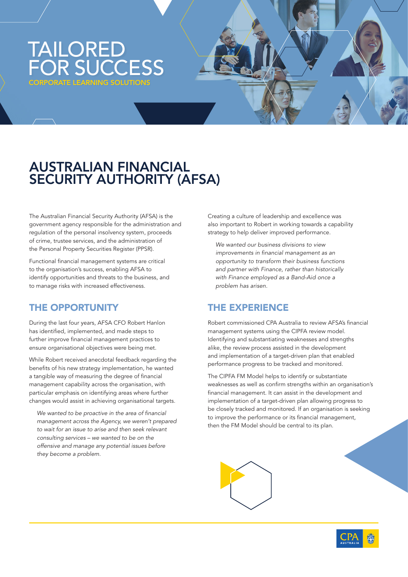# TAILORED FOR SUCCESS PORATE LEARNING SOLUTIONS

## AUSTRALIAN FINANCIAL SECURITY AUTHORITY (AFSA)

The Australian Financial Security Authority (AFSA) is the government agency responsible for the administration and regulation of the personal insolvency system, proceeds of crime, trustee services, and the administration of the Personal Property Securities Register (PPSR).

Functional financial management systems are critical to the organisation's success, enabling AFSA to identify opportunities and threats to the business, and to manage risks with increased effectiveness.

### THE OPPORTUNITY

During the last four years, AFSA CFO Robert Hanlon has identified, implemented, and made steps to further improve financial management practices to ensure organisational objectives were being met.

While Robert received anecdotal feedback regarding the benefits of his new strategy implementation, he wanted a tangible way of measuring the degree of financial management capability across the organisation, with particular emphasis on identifying areas where further changes would assist in achieving organisational targets.

*We wanted to be proactive in the area of financial management across the Agency, we weren't prepared to wait for an issue to arise and then seek relevant consulting services – we wanted to be on the offensive and manage any potential issues before they become a problem.*

Creating a culture of leadership and excellence was also important to Robert in working towards a capability strategy to help deliver improved performance.

*We wanted our business divisions to view improvements in financial management as an opportunity to transform their business functions and partner with Finance, rather than historically with Finance employed as a Band-Aid once a problem has arisen.*

### THE EXPERIENCE

Robert commissioned CPA Australia to review AFSA's financial management systems using the CIPFA review model. Identifying and substantiating weaknesses and strengths alike, the review process assisted in the development and implementation of a target-driven plan that enabled performance progress to be tracked and monitored.

The CIPFA FM Model helps to identify or substantiate weaknesses as well as confirm strengths within an organisation's financial management. It can assist in the development and implementation of a target-driven plan allowing progress to be closely tracked and monitored. If an organisation is seeking to improve the performance or its financial management, then the FM Model should be central to its plan.